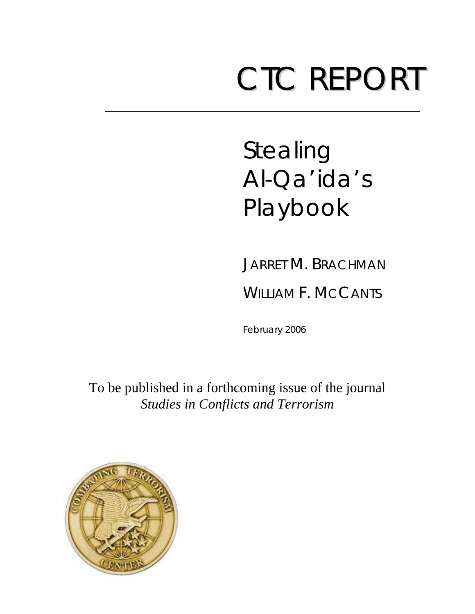# CTC REPORT

## Stealing Al-Qa'ida's Playbook

JARRET M. BRACHMAN

WILLIAM F. MCCANTS

February 2006

To be published in a forthcoming issue of the journal *Studies in Conflicts and Terrorism* 

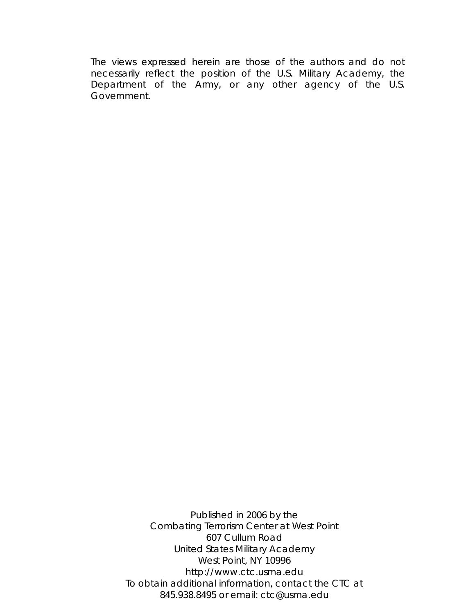*The views expressed herein are those of the authors and do not necessarily reflect the position of the U.S. Military Academy, the Department of the Army, or any other agency of the U.S. Government.* 

> 2 To obtain additional information, contact the CTC at Published in 2006 by the Combating Terrorism Center at West Point 607 Cullum Road United States Military Academy West Point, NY 10996 http://www.ctc.usma.edu 845.938.8495 or email: ctc@usma.edu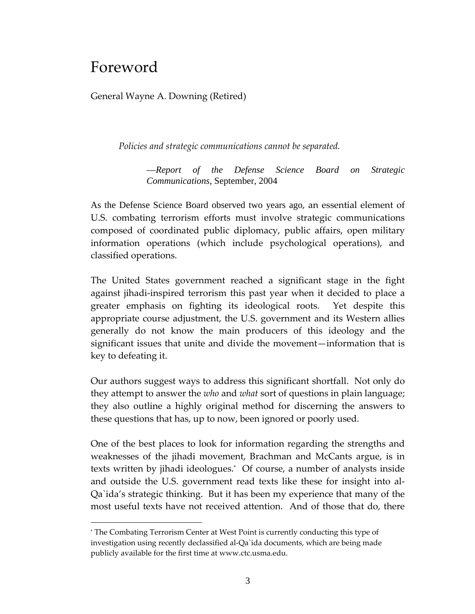### Foreword

1

General Wayne A. Downing (Retired)

*Policies and strategic communications cannot be separated.*

—*Report of the Defense Science Board on Strategic Communications*, September, 2004

As the Defense Science Board observed two years ago, an essential element of U.S. combating terrorism efforts must involve strategic communications composed of coordinated public diplomacy, public affairs, open military information operations (which include psychological operations), and classified operations.

The United States government reached a significant stage in the fight against jihadi‐inspired terrorism this past year when it decided to place a greater emphasis on fighting its ideological roots. Yet despite this appropriate course adjustment, the U.S. government and its Western allies generally do not know the main producers of this ideology and the significant issues that unite and divide the movement—information that is key to defeating it.

Our authors suggest ways to address this significant shortfall. Not only do they attempt to answer the *who* and *what* sort of questions in plain language; they also outline a highly original method for discerning the answers to these questions that has, up to now, been ignored or poorly used.

One of the best places to look for information regarding the strengths and weaknesses of the jihadi movement, Brachman and McCants argue, is in texts written by jihadi ideologues. [\\*](#page-2-0) Of course, a number of analysts inside and outside the U.S. government read texts like these for insight into al‐ Qa`ida's strategic thinking. But it has been my experience that many of the most useful texts have not received attention. And of those that do, there

<span id="page-2-0"></span><sup>\*</sup> The Combating Terrorism Center at West Point is currently conducting this type of investigation using recently declassified al‐Qa`ida documents, which are being made publicly available for the first time at www.ctc.usma.edu.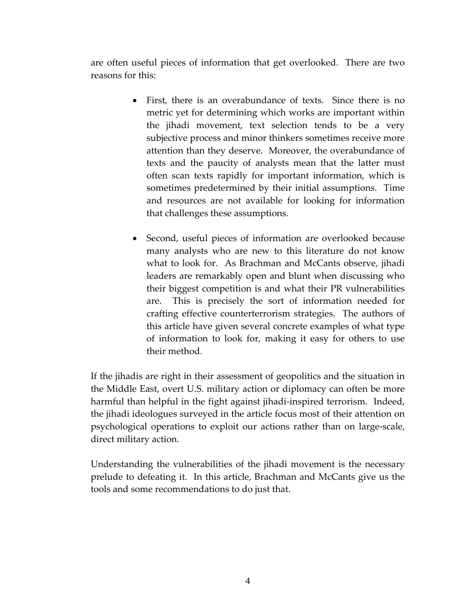are often useful pieces of information that get overlooked. There are two reasons for this:

- First, there is an overabundance of texts. Since there is no metric yet for determining which works are important within the jihadi movement, text selection tends to be a very subjective process and minor thinkers sometimes receive more attention than they deserve. Moreover, the overabundance of texts and the paucity of analysts mean that the latter must often scan texts rapidly for important information, which is sometimes predetermined by their initial assumptions. Time and resources are not available for looking for information that challenges these assumptions.
- Second, useful pieces of information are overlooked because many analysts who are new to this literature do not know what to look for. As Brachman and McCants observe, jihadi leaders are remarkably open and blunt when discussing who their biggest competition is and what their PR vulnerabilities are. This is precisely the sort of information needed for crafting effective counterterrorism strategies. The authors of this article have given several concrete examples of what type of information to look for, making it easy for others to use their method.

If the jihadis are right in their assessment of geopolitics and the situation in the Middle East, overt U.S. military action or diplomacy can often be more harmful than helpful in the fight against jihadi-inspired terrorism. Indeed, the jihadi ideologues surveyed in the article focus most of their attention on psychological operations to exploit our actions rather than on large-scale, direct military action.

Understanding the vulnerabilities of the jihadi movement is the necessary prelude to defeating it. In this article, Brachman and McCants give us the tools and some recommendations to do just that.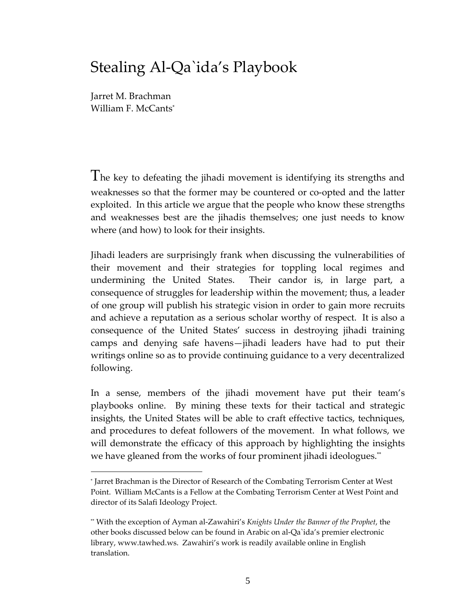## Stealing Al‐Qa`ida's Playbook

Jarret M. Brachman William F. McCants\*

 $\overline{a}$ 

The key to defeating the jihadi movement is identifying its strengths and weaknesses so that the former may be countered or co-opted and the latter exploited. In this article we argue that the people who know these strengths and weaknesses best are the jihadis themselves; one just needs to know where (and how) to look for their insights.

Jihadi leaders are surprisingly frank when discussing the vulnerabilities of their movement and their strategies for toppling local regimes and undermining the United States. Their candor is, in large part, a consequence of struggles for leadership within the movement; thus, a leader of one group will publish his strategic vision in order to gain more recruits and achieve a reputation as a serious scholar worthy of respect. It is also a consequence of the United States' success in destroying jihadi training camps and denying safe havens—jihadi leaders have had to put their writings online so as to provide continuing guidance to a very decentralized following.

In a sense, members of the jihadi movement have put their team's playbooks online. By mining these texts for their tactical and strategic insights, the United States will be able to craft effective tactics, techniques, and procedures to defeat followers of the movement. In what follows, we will demonstrate the efficacy of this approach by highlighting the insights we have gleaned from the works of four prominent jihadi ideologues.<sup>[\\*\\*](#page-4-1)</sup>

<span id="page-4-0"></span><sup>\*</sup> Jarret Brachman is the Director of Research of the Combating Terrorism Center at West Point. William McCants is a Fellow at the Combating Terrorism Center at West Point and director of its Salafi Ideology Project.

<span id="page-4-1"></span><sup>\*\*</sup> With the exception of Ayman al‐Zawahiri's *Knights Under the Banner of the Prophet*, the other books discussed below can be found in Arabic on al‐Qa`ida's premier electronic library, www.tawhed.ws. Zawahiri's work is readily available online in English translation.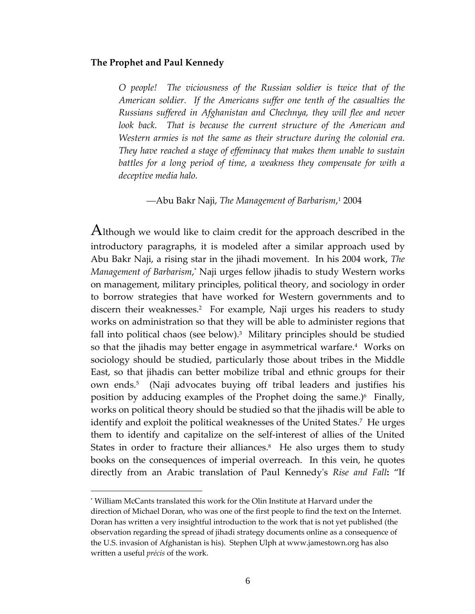#### **The Prophet and Paul Kennedy**

*O people! The viciousness of the Russian soldier is twice that of the American soldier. If the Americans suffer one tenth of the casualties the Russians suffered in Afghanistan and Chechnya, they will flee and never look back. That is because the current structure of the American and Western armies is not the same as their structure during the colonial era. They have reached a stage of effeminacy that makes them unable to sustain battles for a long period of time, a weakness they compensate for with a deceptive media halo.*

—Abu Bakr Naji, *The Management of Barbarism*, [1](#page-24-0) 2004

Although we would like to claim credit for the approach described in the introductory paragraphs, it is modeled after a similar approach used by Abu Bakr Naji, a rising star in the jihadi movement. In his 2004 work, *The Management of Barbarism*, [\\*](#page-5-0) Naji urges fellow jihadis to study Western works on management, military principles, political theory, and sociology in order to borrow strategies that have worked for Western governments and to discern their weaknesses.<sup>2</sup> For example, Naji urges his readers to study works on administration so that they will be able to administer regions that fall into political chaos (see below).<sup>3</sup> Military principles should be studied so that the jihadis may better engage in asymmetrical warfare[.4](#page-24-3) Works on sociology should be studied, particularly those about tribes in the Middle East, so that jihadis can better mobilize tribal and ethnic groups for their own ends.<sup>[5](#page-24-4)</sup> (Naji advocates buying off tribal leaders and justifies his position by adducing examples of the Prophet doing the same.)<sup>6</sup> Finally, works on political theory should be studied so that the jihadis will be able to identify and exploit the political weaknesses of the United States.<sup>[7](#page-24-6)</sup> He urges them to identify and capitalize on the self‐interest of allies of the United States in order to fracture their alliances. $8$  He also urges them to study books on the consequences of imperial overreach. In this vein, he quotes directly from an Arabic translation of Paul Kennedyʹs *Rise and Fall***:** "If

<u>.</u>

<span id="page-5-0"></span><sup>\*</sup> William McCants translated this work for the Olin Institute at Harvard under the

direction of Michael Doran, who was one of the first people to find the text on the Internet. Doran has written a very insightful introduction to the work that is not yet published (the observation regarding the spread of jihadi strategy documents online as a consequence of the U.S. invasion of Afghanistan is his). Stephen Ulph at www.jamestown.org has also written a useful *précis* of the work.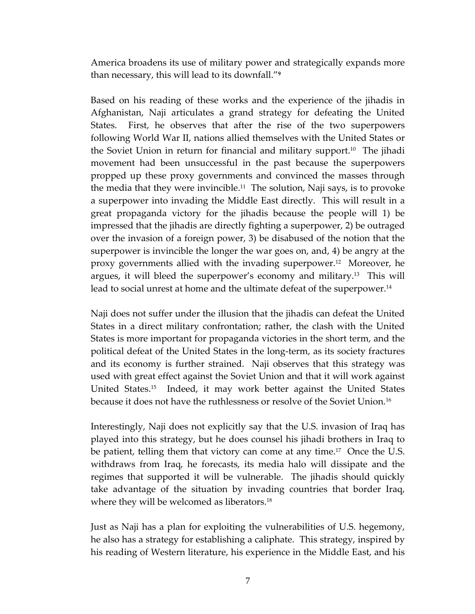America broadens its use of military power and strategically expands more than necessary, this will lead to its downfall."**[9](#page-24-8)**

Based on his reading of these works and the experience of the jihadis in Afghanistan, Naji articulates a grand strategy for defeating the United States. First, he observes that after the rise of the two superpowers following World War II, nations allied themselves with the United States or the Soviet Union in return for financial and military support.[10](#page-24-9) The jihadi movement had been unsuccessful in the past because the superpowers propped up these proxy governments and convinced the masses through the media that they were invincible.<sup>[11](#page-24-10)</sup> The solution, Naji says, is to provoke a superpower into invading the Middle East directly. This will result in a great propaganda victory for the jihadis because the people will 1) be impressed that the jihadis are directly fighting a superpower, 2) be outraged over the invasion of a foreign power, 3) be disabused of the notion that the superpower is invincible the longer the war goes on, and, 4) be angry at the proxy governments allied with the invading superpower.[12](#page-24-11) Moreover, he argues, it will bleed the superpower's economy and military.<sup>13</sup> This will lead to social unrest at home and the ultimate defeat of the superpower.<sup>[14](#page-24-13)</sup>

Naji does not suffer under the illusion that the jihadis can defeat the United States in a direct military confrontation; rather, the clash with the United States is more important for propaganda victories in the short term, and the political defeat of the United States in the long‐term, as its society fractures and its economy is further strained. Naji observes that this strategy was used with great effect against the Soviet Union and that it will work against United States.<sup>15</sup> Indeed, it may work better against the United States because it does not have the ruthlessness or resolve of the Soviet Union[.16](#page-24-15)

Interestingly, Naji does not explicitly say that the U.S. invasion of Iraq has played into this strategy, but he does counsel his jihadi brothers in Iraq to be patient, telling them that victory can come at any time.<sup>[17](#page-24-16)</sup> Once the U.S. withdraws from Iraq, he forecasts, its media halo will dissipate and the regimes that supported it will be vulnerable. The jihadis should quickly take advantage of the situation by invading countries that border Iraq, where they will be welcomed as liberators.<sup>[18](#page-24-17)</sup>

Just as Naji has a plan for exploiting the vulnerabilities of U.S. hegemony, he also has a strategy for establishing a caliphate. This strategy, inspired by his reading of Western literature, his experience in the Middle East, and his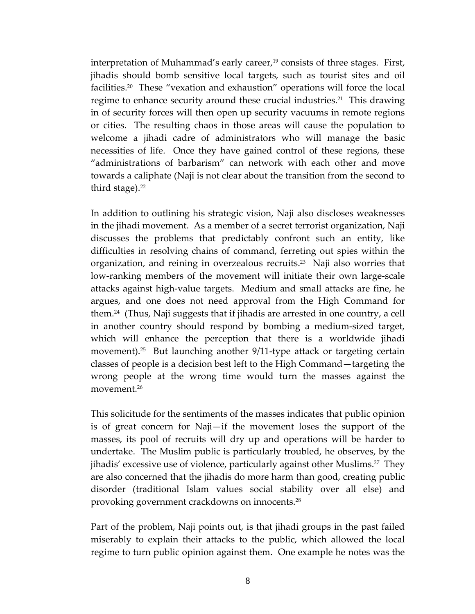interpretation of Muhammad's early career, $19$  consists of three stages. First, jihadis should bomb sensitive local targets, such as tourist sites and oil facilities[.20](#page-24-19) These "vexation and exhaustion" operations will force the local regime to enhance security around these crucial industries.<sup>21</sup> This drawing in of security forces will then open up security vacuums in remote regions or cities. The resulting chaos in those areas will cause the population to welcome a jihadi cadre of administrators who will manage the basic necessities of life. Once they have gained control of these regions, these "administrations of barbarism" can network with each other and move towards a caliphate (Naji is not clear about the transition from the second to third stage). [22](#page-24-21)

In addition to outlining his strategic vision, Naji also discloses weaknesses in the jihadi movement. As a member of a secret terrorist organization, Naji discusses the problems that predictably confront such an entity, like difficulties in resolving chains of command, ferreting out spies within the organization, and reining in overzealous recruits.<sup>23</sup> Naji also worries that low-ranking members of the movement will initiate their own large-scale attacks against high‐value targets. Medium and small attacks are fine, he argues, and one does not need approval from the High Command for them[.24](#page-24-23) (Thus, Naji suggests that if jihadis are arrested in one country, a cell in another country should respond by bombing a medium‐sized target, which will enhance the perception that there is a worldwide jihadi movement). [25](#page-24-24) But launching another 9/11‐type attack or targeting certain classes of people is a decision best left to the High Command—targeting the wrong people at the wrong time would turn the masses against the movement.[26](#page-24-25)

This solicitude for the sentiments of the masses indicates that public opinion is of great concern for Naji—if the movement loses the support of the masses, its pool of recruits will dry up and operations will be harder to undertake. The Muslim public is particularly troubled, he observes, by the jihadis' excessive use of violence, particularly against other Muslims[.27](#page-24-26) They are also concerned that the jihadis do more harm than good, creating public disorder (traditional Islam values social stability over all else) and provoking government crackdowns on innocents[.28](#page-24-27)

Part of the problem, Naji points out, is that jihadi groups in the past failed miserably to explain their attacks to the public, which allowed the local regime to turn public opinion against them. One example he notes was the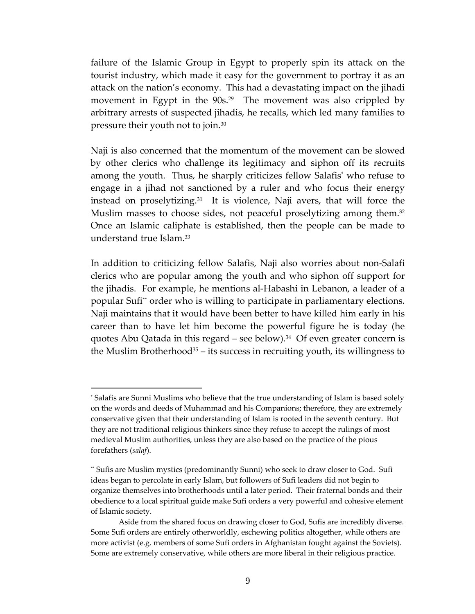failure of the Islamic Group in Egypt to properly spin its attack on the tourist industry, which made it easy for the government to portray it as an attack on the nation's economy. This had a devastating impact on the jihadi movement in Egypt in the 90s.<sup>[29](#page-24-28)</sup> The movement was also crippled by arbitrary arrests of suspected jihadis, he recalls, which led many families to pressure their youth not to join[.30](#page-24-29)

Naji is also concerned that the momentum of the movement can be slowed by other clerics who challenge its legitimacy and siphon off its recruits among the youth. Thus, he sharply criticizes fellow Salafis[\\*](#page-8-0) who refuse to engage in a jihad not sanctioned by a ruler and who focus their energy instead on proselytizing.<sup>[31](#page-24-30)</sup> It is violence, Naji avers, that will force the Muslim masses to choose sides, not peaceful proselytizing among them.<sup>[32](#page-24-31)</sup> Once an Islamic caliphate is established, then the people can be made to understand true Islam[.33](#page-24-32)

In addition to criticizing fellow Salafis, Naji also worries about non‐Salafi clerics who are popular among the youth and who siphon off support for the jihadis. For example, he mentions al‐Habashi in Lebanon, a leader of a popular Sufi[\\*\\*](#page-8-1) order who is willing to participate in parliamentary elections. Naji maintains that it would have been better to have killed him early in his career than to have let him become the powerful figure he is today (he quotes Abu Qatada in this regard – see below).<sup>34</sup> Of even greater concern is the Muslim Brotherhood<sup>35</sup> – its success in recruiting youth, its willingness to

1

<span id="page-8-0"></span><sup>\*</sup> Salafis are Sunni Muslims who believe that the true understanding of Islam is based solely on the words and deeds of Muhammad and his Companions; therefore, they are extremely conservative given that their understanding of Islam is rooted in the seventh century. But they are not traditional religious thinkers since they refuse to accept the rulings of most medieval Muslim authorities, unless they are also based on the practice of the pious forefathers (*salaf*).

<span id="page-8-1"></span><sup>\*\*</sup> Sufis are Muslim mystics (predominantly Sunni) who seek to draw closer to God. Sufi ideas began to percolate in early Islam, but followers of Sufi leaders did not begin to organize themselves into brotherhoods until a later period. Their fraternal bonds and their obedience to a local spiritual guide make Sufi orders a very powerful and cohesive element of Islamic society.

Aside from the shared focus on drawing closer to God, Sufis are incredibly diverse. Some Sufi orders are entirely otherworldly, eschewing politics altogether, while others are more activist (e.g. members of some Sufi orders in Afghanistan fought against the Soviets). Some are extremely conservative, while others are more liberal in their religious practice.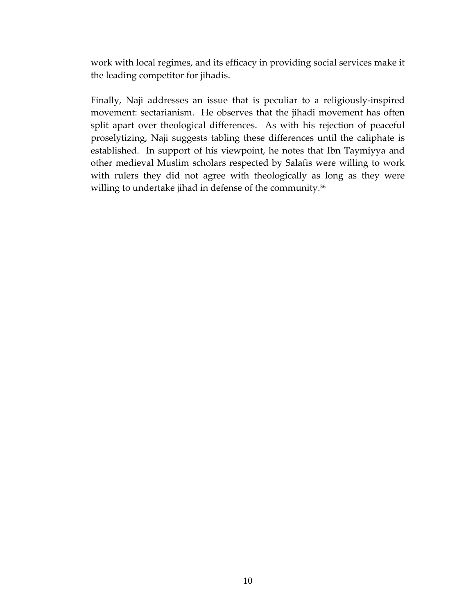work with local regimes, and its efficacy in providing social services make it the leading competitor for jihadis.

Finally, Naji addresses an issue that is peculiar to a religiously-inspired movement: sectarianism. He observes that the jihadi movement has often split apart over theological differences. As with his rejection of peaceful proselytizing, Naji suggests tabling these differences until the caliphate is established. In support of his viewpoint, he notes that Ibn Taymiyya and other medieval Muslim scholars respected by Salafis were willing to work with rulers they did not agree with theologically as long as they were willing to undertake jihad in defense of the community.<sup>[36](#page-24-35)</sup>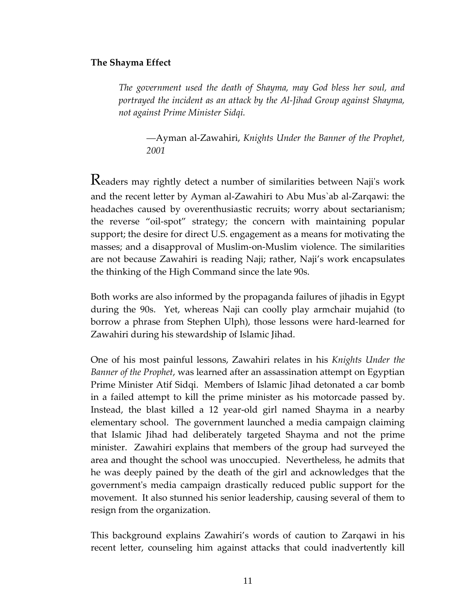#### **The Shayma Effect**

*The government used the death of Shayma, may God bless her soul, and portrayed the incident as an attack by the Al‐Jihad Group against Shayma, not against Prime Minister Sidqi.*

—Ayman al‐Zawahiri, *Knights Under the Banner of the Prophet, 2001*

Readers may rightly detect a number of similarities between Naji's work and the recent letter by Ayman al‐Zawahiri to Abu Mus`ab al‐Zarqawi: the headaches caused by overenthusiastic recruits; worry about sectarianism; the reverse "oil‐spot" strategy; the concern with maintaining popular support; the desire for direct U.S. engagement as a means for motivating the masses; and a disapproval of Muslim‐on‐Muslim violence. The similarities are not because Zawahiri is reading Naji; rather, Naji's work encapsulates the thinking of the High Command since the late 90s.

Both works are also informed by the propaganda failures of jihadis in Egypt during the 90s. Yet, whereas Naji can coolly play armchair mujahid (to borrow a phrase from Stephen Ulph), those lessons were hard‐learned for Zawahiri during his stewardship of Islamic Jihad.

One of his most painful lessons, Zawahiri relates in his *Knights Under the Banner of the Prophet*, was learned after an assassination attempt on Egyptian Prime Minister Atif Sidqi. Members of Islamic Jihad detonated a car bomb in a failed attempt to kill the prime minister as his motorcade passed by. Instead, the blast killed a 12 year‐old girl named Shayma in a nearby elementary school. The government launched a media campaign claiming that Islamic Jihad had deliberately targeted Shayma and not the prime minister. Zawahiri explains that members of the group had surveyed the area and thought the school was unoccupied. Nevertheless, he admits that he was deeply pained by the death of the girl and acknowledges that the governmentʹs media campaign drastically reduced public support for the movement. It also stunned his senior leadership, causing several of them to resign from the organization.

This background explains Zawahiri's words of caution to Zarqawi in his recent letter, counseling him against attacks that could inadvertently kill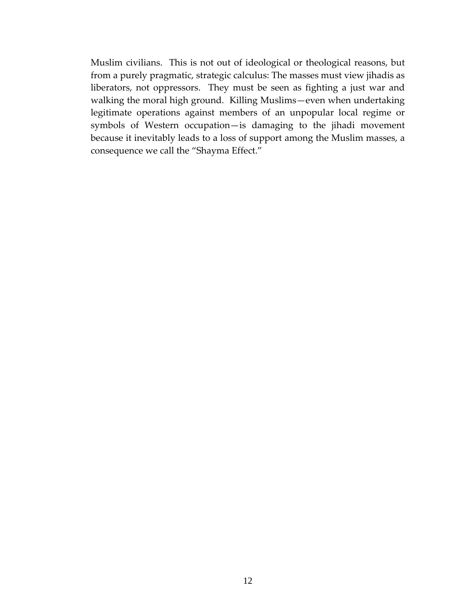Muslim civilians. This is not out of ideological or theological reasons, but from a purely pragmatic, strategic calculus: The masses must view jihadis as liberators, not oppressors. They must be seen as fighting a just war and walking the moral high ground. Killing Muslims—even when undertaking legitimate operations against members of an unpopular local regime or symbols of Western occupation—is damaging to the jihadi movement because it inevitably leads to a loss of support among the Muslim masses, a consequence we call the "Shayma Effect."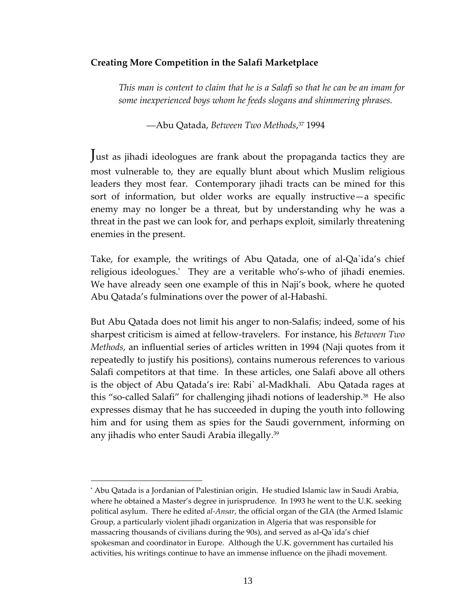#### **Creating More Competition in the Salafi Marketplace**

*This man is content to claim that he is a Salafi so that he can be an imam for some inexperienced boys whom he feeds slogans and shimmering phrases.* 

—Abu Qatada, *Between Two Methods*, [37](#page-24-36) 1994

Just as jihadi ideologues are frank about the propaganda tactics they are most vulnerable to, they are equally blunt about which Muslim religious leaders they most fear. Contemporary jihadi tracts can be mined for this sort of information, but older works are equally instructive—a specific enemy may no longer be a threat, but by understanding why he was a threat in the past we can look for, and perhaps exploit, similarly threatening enemies in the present.

Take, for example, the writings of Abu Qatada, one of al‐Qa`ida's chief religious ideologues.\*  They are a veritable who's‐who of jihadi enemies. We have already seen one example of this in Naji's book, where he quoted Abu Qatada's fulminations over the power of al‐Habashi.

But Abu Qatada does not limit his anger to non‐Salafis; indeed, some of his sharpest criticism is aimed at fellow‐travelers. For instance, his *Between Two Methods*, an influential series of articles written in 1994 (Naji quotes from it repeatedly to justify his positions), contains numerous references to various Salafi competitors at that time. In these articles, one Salafi above all others is the object of Abu Qatada's ire: Rabi` al‐Madkhali. Abu Qatada rages at this "so-called Salafi" for challenging jihadi notions of leadership.<sup>[38](#page-24-37)</sup> He also expresses dismay that he has succeeded in duping the youth into following him and for using them as spies for the Saudi government, informing on any jihadis who enter Saudi Arabia illegally.[39](#page-24-38)

 $\overline{a}$ 

<span id="page-12-0"></span><sup>\*</sup> Abu Qatada is a Jordanian of Palestinian origin. He studied Islamic law in Saudi Arabia, where he obtained a Master's degree in jurisprudence. In 1993 he went to the U.K. seeking political asylum. There he edited *al‐Ansar*, the official organ of the GIA (the Armed Islamic Group, a particularly violent jihadi organization in Algeria that was responsible for massacring thousands of civilians during the 90s), and served as al‐Qa`ida's chief spokesman and coordinator in Europe. Although the U.K. government has curtailed his activities, his writings continue to have an immense influence on the jihadi movement.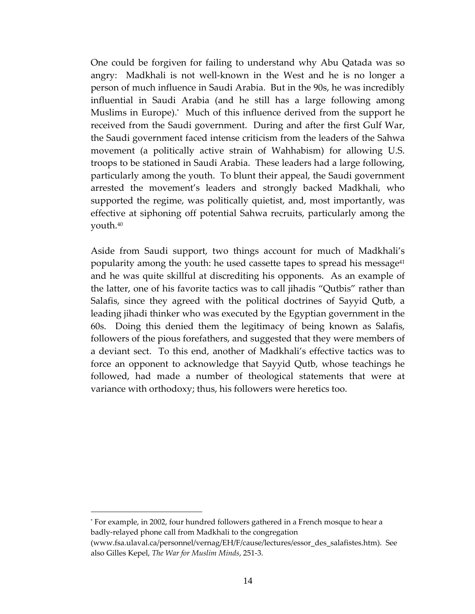One could be forgiven for failing to understand why Abu Qatada was so angry: Madkhali is not well-known in the West and he is no longer a person of much influence in Saudi Arabia. But in the 90s, he was incredibly influential in Saudi Arabia (and he still has a large following among Muslims in Europe).\*  Much of this influence derived from the support he received from the Saudi government. During and after the first Gulf War, the Saudi government faced intense criticism from the leaders of the Sahwa movement (a politically active strain of Wahhabism) for allowing U.S. troops to be stationed in Saudi Arabia. These leaders had a large following, particularly among the youth. To blunt their appeal, the Saudi government arrested the movement's leaders and strongly backed Madkhali, who supported the regime, was politically quietist, and, most importantly, was effective at siphoning off potential Sahwa recruits, particularly among the youth[.40](#page-24-39)

Aside from Saudi support, two things account for much of Madkhali's popularity among the youth: he used cassette tapes to spread his message<sup>41</sup> and he was quite skillful at discrediting his opponents. As an example of the latter, one of his favorite tactics was to call jihadis "Qutbis" rather than Salafis, since they agreed with the political doctrines of Sayyid Qutb, a leading jihadi thinker who was executed by the Egyptian government in the 60s. Doing this denied them the legitimacy of being known as Salafis, followers of the pious forefathers, and suggested that they were members of a deviant sect. To this end, another of Madkhali's effective tactics was to force an opponent to acknowledge that Sayyid Qutb, whose teachings he followed, had made a number of theological statements that were at variance with orthodoxy; thus, his followers were heretics too.

<u>.</u>

<span id="page-13-0"></span><sup>\*</sup> For example, in 2002, four hundred followers gathered in a French mosque to hear a badly‐relayed phone call from Madkhali to the congregation

<sup>(</sup>www.fsa.ulaval.ca/personnel/vernag/EH/F/cause/lectures/essor\_des\_salafistes.htm). See also Gilles Kepel, *The War for Muslim Minds*, 251‐3.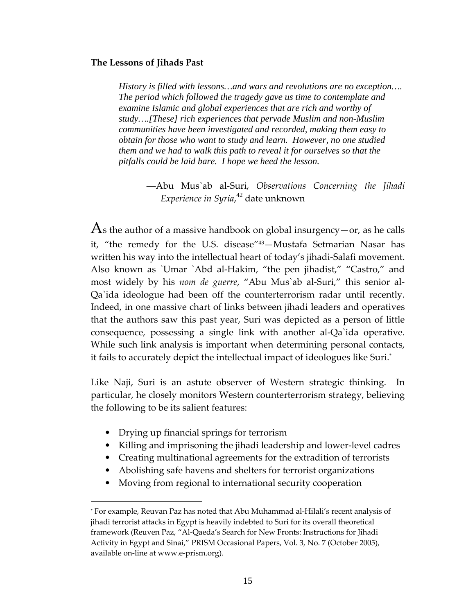#### **The Lessons of Jihads Past**

*History is filled with lessons…and wars and revolutions are no exception…. The period which followed the tragedy gave us time to contemplate and examine Islamic and global experiences that are rich and worthy of study….[These] rich experiences that pervade Muslim and non-Muslim communities have been investigated and recorded, making them easy to obtain for those who want to study and learn. However, no one studied them and we had to walk this path to reveal it for ourselves so that the pitfalls could be laid bare. I hope we heed the lesson.* 

—Abu Mus`ab al‐Suri, *Observations Concerning the Jihadi Experience in Syria*, [42](#page-24-41) date unknown

As the author of a massive handbook on global insurgency—or, as he calls it, "the remedy for the U.S. disease"[43—](#page-24-42)Mustafa Setmarian Nasar has written his way into the intellectual heart of today's jihadi-Salafi movement. Also known as `Umar `Abd al-Hakim, "the pen jihadist," "Castro," and most widely by his *nom de guerre*, "Abu Mus`ab al‐Suri," this senior al‐ Qa`ida ideologue had been off the counterterrorism radar until recently. Indeed, in one massive chart of links between jihadi leaders and operatives that the authors saw this past year, Suri was depicted as a person of little consequence, possessing a single link with another al‐Qa`ida operative. While such link analysis is important when determining personal contacts, it fails to accurately depict the intellectual impact of ideologues like Suri[.\\*](#page-14-0)

Like Naji, Suri is an astute observer of Western strategic thinking. In particular, he closely monitors Western counterterrorism strategy, believing the following to be its salient features:

• Drying up financial springs for terrorism

 $\overline{a}$ 

- Killing and imprisoning the jihadi leadership and lower‐level cadres
- Creating multinational agreements for the extradition of terrorists
- Abolishing safe havens and shelters for terrorist organizations
- Moving from regional to international security cooperation

<span id="page-14-0"></span><sup>\*</sup> For example, Reuvan Paz has noted that Abu Muhammad al‐Hilali's recent analysis of jihadi terrorist attacks in Egypt is heavily indebted to Suri for its overall theoretical framework (Reuven Paz, "Al‐Qaeda's Search for New Fronts: Instructions for Jihadi Activity in Egypt and Sinai," PRISM Occasional Papers, Vol. 3, No. 7 (October 2005), available on‐line at www.e‐prism.org).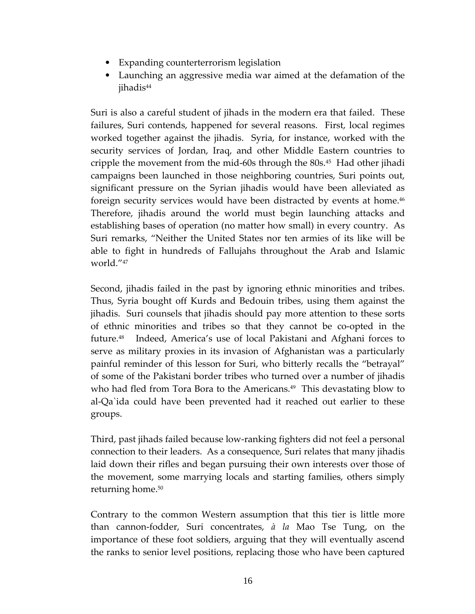- Expanding counterterrorism legislation
- Launching an aggressive media war aimed at the defamation of the jihadis<sup>44</sup>

Suri is also a careful student of jihads in the modern era that failed. These failures, Suri contends, happened for several reasons. First, local regimes worked together against the jihadis. Syria, for instance, worked with the security services of Jordan, Iraq, and other Middle Eastern countries to cripple the movement from the mid-60s through the  $80s<sup>45</sup>$  $80s<sup>45</sup>$  $80s<sup>45</sup>$  Had other jihadi campaigns been launched in those neighboring countries, Suri points out, significant pressure on the Syrian jihadis would have been alleviated as foreign security services would have been distracted by events at home.[46](#page-24-45) Therefore, jihadis around the world must begin launching attacks and establishing bases of operation (no matter how small) in every country. As Suri remarks, "Neither the United States nor ten armies of its like will be able to fight in hundreds of Fallujahs throughout the Arab and Islamic world.["47](#page-24-46)

Second, jihadis failed in the past by ignoring ethnic minorities and tribes. Thus, Syria bought off Kurds and Bedouin tribes, using them against the jihadis. Suri counsels that jihadis should pay more attention to these sorts of ethnic minorities and tribes so that they cannot be co‐opted in the future.[48](#page-24-47) Indeed, America's use of local Pakistani and Afghani forces to serve as military proxies in its invasion of Afghanistan was a particularly painful reminder of this lesson for Suri, who bitterly recalls the "betrayal" of some of the Pakistani border tribes who turned over a number of jihadis who had fled from Tora Bora to the Americans.<sup>49</sup> This devastating blow to al‐Qa`ida could have been prevented had it reached out earlier to these groups.

Third, past jihads failed because low‐ranking fighters did not feel a personal connection to their leaders. As a consequence, Suri relates that many jihadis laid down their rifles and began pursuing their own interests over those of the movement, some marrying locals and starting families, others simply returning home.<sup>50</sup>

Contrary to the common Western assumption that this tier is little more than cannon‐fodder, Suri concentrates, *à la* Mao Tse Tung, on the importance of these foot soldiers, arguing that they will eventually ascend the ranks to senior level positions, replacing those who have been captured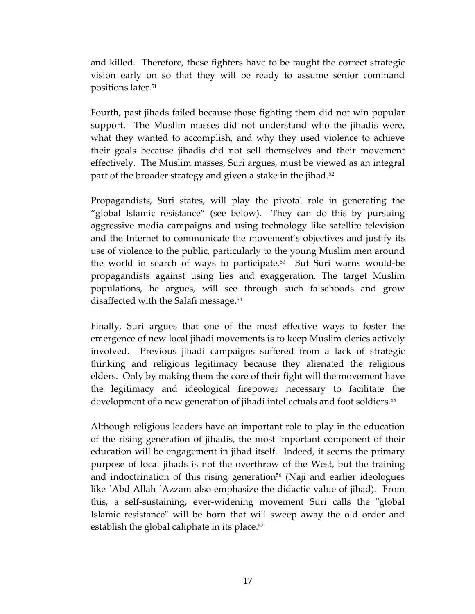and killed. Therefore, these fighters have to be taught the correct strategic vision early on so that they will be ready to assume senior command positions later.<sup>51</sup>

Fourth, past jihads failed because those fighting them did not win popular support. The Muslim masses did not understand who the jihadis were, what they wanted to accomplish, and why they used violence to achieve their goals because jihadis did not sell themselves and their movement effectively. The Muslim masses, Suri argues, must be viewed as an integral part of the broader strategy and given a stake in the jihad.<sup>[52](#page-24-51)</sup>

Propagandists, Suri states, will play the pivotal role in generating the "global Islamic resistance" (see below). They can do this by pursuing aggressive media campaigns and using technology like satellite television and the Internet to communicate the movement's objectives and justify its use of violence to the public, particularly to the young Muslim men around the world in search of ways to participate.<sup>[53](#page-24-52)</sup> But Suri warns would-be propagandists against using lies and exaggeration. The target Muslim populations, he argues, will see through such falsehoods and grow disaffected with the Salafi message. [54](#page-24-53)

Finally, Suri argues that one of the most effective ways to foster the emergence of new local jihadi movements is to keep Muslim clerics actively involved. Previous jihadi campaigns suffered from a lack of strategic thinking and religious legitimacy because they alienated the religious elders. Only by making them the core of their fight will the movement have the legitimacy and ideological firepower necessary to facilitate the development of a new generation of jihadi intellectuals and foot soldiers.<sup>55</sup>

Although religious leaders have an important role to play in the education of the rising generation of jihadis, the most important component of their education will be engagement in jihad itself. Indeed, it seems the primary purpose of local jihads is not the overthrow of the West, but the training and indoctrination of this rising generation<sup>56</sup> (Naji and earlier ideologues like `Abd Allah `Azzam also emphasize the didactic value of jihad). From this, a self-sustaining, ever-widening movement Suri calls the "global" Islamic resistance" will be born that will sweep away the old order and establish the global caliphate in its place.<sup>[57](#page-24-56)</sup>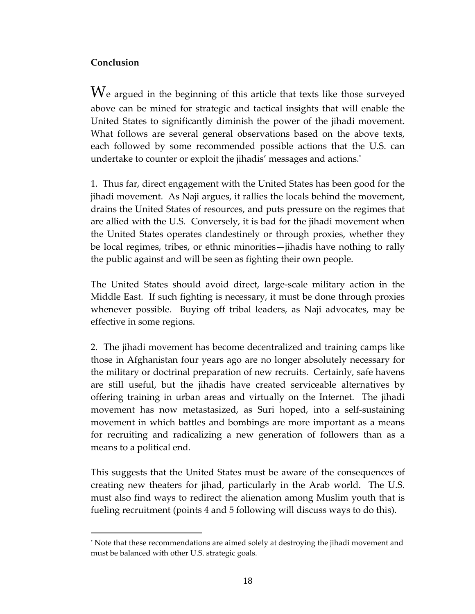#### **Conclusion**

 $\overline{a}$ 

 $W$ e argued in the beginning of this article that texts like those surveyed above can be mined for strategic and tactical insights that will enable the United States to significantly diminish the power of the jihadi movement. What follows are several general observations based on the above texts, each followed by some recommended possible actions that the U.S. can undertake to counter or exploit the jihadis' messages and actions.[\\*](#page-17-0)

1. Thus far, direct engagement with the United States has been good for the jihadi movement. As Naji argues, it rallies the locals behind the movement, drains the United States of resources, and puts pressure on the regimes that are allied with the U.S. Conversely, it is bad for the jihadi movement when the United States operates clandestinely or through proxies, whether they be local regimes, tribes, or ethnic minorities—jihadis have nothing to rally the public against and will be seen as fighting their own people.

The United States should avoid direct, large‐scale military action in the Middle East. If such fighting is necessary, it must be done through proxies whenever possible. Buying off tribal leaders, as Naji advocates, may be effective in some regions.

2. The jihadi movement has become decentralized and training camps like those in Afghanistan four years ago are no longer absolutely necessary for the military or doctrinal preparation of new recruits. Certainly, safe havens are still useful, but the jihadis have created serviceable alternatives by offering training in urban areas and virtually on the Internet. The jihadi movement has now metastasized, as Suri hoped, into a self-sustaining movement in which battles and bombings are more important as a means for recruiting and radicalizing a new generation of followers than as a means to a political end.

This suggests that the United States must be aware of the consequences of creating new theaters for jihad, particularly in the Arab world. The U.S. must also find ways to redirect the alienation among Muslim youth that is fueling recruitment (points 4 and 5 following will discuss ways to do this).

<span id="page-17-0"></span><sup>\*</sup> Note that these recommendations are aimed solely at destroying the jihadi movement and must be balanced with other U.S. strategic goals.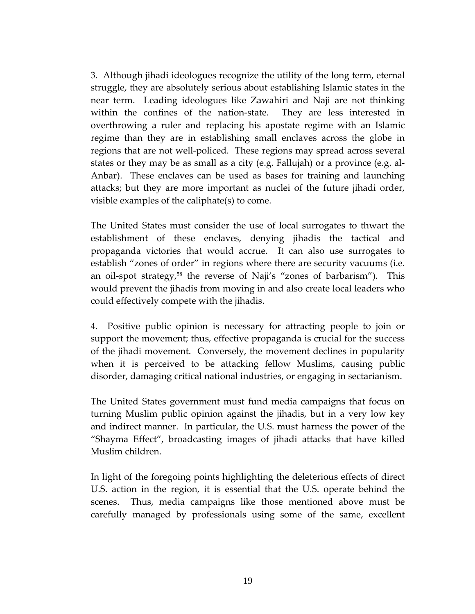3. Although jihadi ideologues recognize the utility of the long term, eternal struggle, they are absolutely serious about establishing Islamic states in the near term. Leading ideologues like Zawahiri and Naji are not thinking within the confines of the nation-state. They are less interested in overthrowing a ruler and replacing his apostate regime with an Islamic regime than they are in establishing small enclaves across the globe in regions that are not well‐policed. These regions may spread across several states or they may be as small as a city (e.g. Fallujah) or a province (e.g. al‐ Anbar). These enclaves can be used as bases for training and launching attacks; but they are more important as nuclei of the future jihadi order, visible examples of the caliphate(s) to come.

The United States must consider the use of local surrogates to thwart the establishment of these enclaves, denying jihadis the tactical and propaganda victories that would accrue. It can also use surrogates to establish "zones of order" in regions where there are security vacuums (i.e. an oil-spot strategy,<sup>[58](#page-24-57)</sup> the reverse of Naji's "zones of barbarism"). This would prevent the jihadis from moving in and also create local leaders who could effectively compete with the jihadis.

4. Positive public opinion is necessary for attracting people to join or support the movement; thus, effective propaganda is crucial for the success of the jihadi movement. Conversely, the movement declines in popularity when it is perceived to be attacking fellow Muslims, causing public disorder, damaging critical national industries, or engaging in sectarianism.

The United States government must fund media campaigns that focus on turning Muslim public opinion against the jihadis, but in a very low key and indirect manner. In particular, the U.S. must harness the power of the "Shayma Effect", broadcasting images of jihadi attacks that have killed Muslim children.

In light of the foregoing points highlighting the deleterious effects of direct U.S. action in the region, it is essential that the U.S. operate behind the scenes. Thus, media campaigns like those mentioned above must be carefully managed by professionals using some of the same, excellent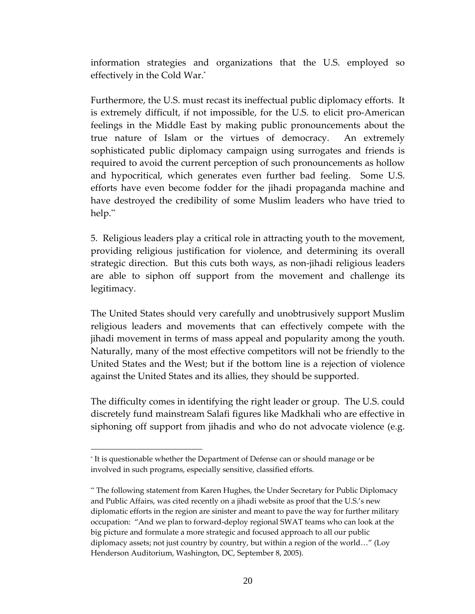information strategies and organizations that the U.S. employed so effectively in the Cold War.[\\*](#page-19-0)

Furthermore, the U.S. must recast its ineffectual public diplomacy efforts. It is extremely difficult, if not impossible, for the U.S. to elicit pro‐American feelings in the Middle East by making public pronouncements about the true nature of Islam or the virtues of democracy. An extremely sophisticated public diplomacy campaign using surrogates and friends is required to avoid the current perception of such pronouncements as hollow and hypocritical, which generates even further bad feeling. Some U.S. efforts have even become fodder for the jihadi propaganda machine and have destroyed the credibility of some Muslim leaders who have tried to help.\*\*

5. Religious leaders play a critical role in attracting youth to the movement, providing religious justification for violence, and determining its overall strategic direction. But this cuts both ways, as non‐jihadi religious leaders are able to siphon off support from the movement and challenge its legitimacy.

The United States should very carefully and unobtrusively support Muslim religious leaders and movements that can effectively compete with the jihadi movement in terms of mass appeal and popularity among the youth. Naturally, many of the most effective competitors will not be friendly to the United States and the West; but if the bottom line is a rejection of violence against the United States and its allies, they should be supported.

The difficulty comes in identifying the right leader or group. The U.S. could discretely fund mainstream Salafi figures like Madkhali who are effective in siphoning off support from jihadis and who do not advocate violence (e.g.

<u>.</u>

<span id="page-19-0"></span><sup>\*</sup> It is questionable whether the Department of Defense can or should manage or be involved in such programs, especially sensitive, classified efforts.

<span id="page-19-1"></span><sup>\*\*</sup> The following statement from Karen Hughes, the Under Secretary for Public Diplomacy and Public Affairs, was cited recently on a jihadi website as proof that the U.S.'s new diplomatic efforts in the region are sinister and meant to pave the way for further military occupation: "And we plan to forward‐deploy regional SWAT teams who can look at the big picture and formulate a more strategic and focused approach to all our public diplomacy assets; not just country by country, but within a region of the world…" (Loy Henderson Auditorium, Washington, DC, September 8, 2005).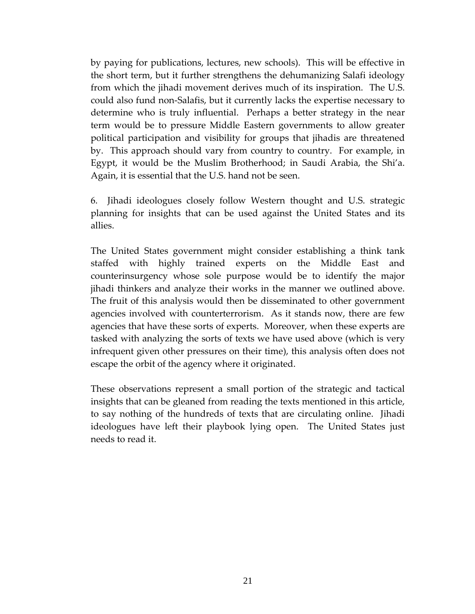by paying for publications, lectures, new schools). This will be effective in the short term, but it further strengthens the dehumanizing Salafi ideology from which the jihadi movement derives much of its inspiration. The U.S. could also fund non‐Salafis, but it currently lacks the expertise necessary to determine who is truly influential. Perhaps a better strategy in the near term would be to pressure Middle Eastern governments to allow greater political participation and visibility for groups that jihadis are threatened by. This approach should vary from country to country. For example, in Egypt, it would be the Muslim Brotherhood; in Saudi Arabia, the Shi'a. Again, it is essential that the U.S. hand not be seen.

6. Jihadi ideologues closely follow Western thought and U.S. strategic planning for insights that can be used against the United States and its allies.

The United States government might consider establishing a think tank staffed with highly trained experts on the Middle East and counterinsurgency whose sole purpose would be to identify the major jihadi thinkers and analyze their works in the manner we outlined above. The fruit of this analysis would then be disseminated to other government agencies involved with counterterrorism. As it stands now, there are few agencies that have these sorts of experts. Moreover, when these experts are tasked with analyzing the sorts of texts we have used above (which is very infrequent given other pressures on their time), this analysis often does not escape the orbit of the agency where it originated.

These observations represent a small portion of the strategic and tactical insights that can be gleaned from reading the texts mentioned in this article, to say nothing of the hundreds of texts that are circulating online. Jihadi ideologues have left their playbook lying open. The United States just needs to read it.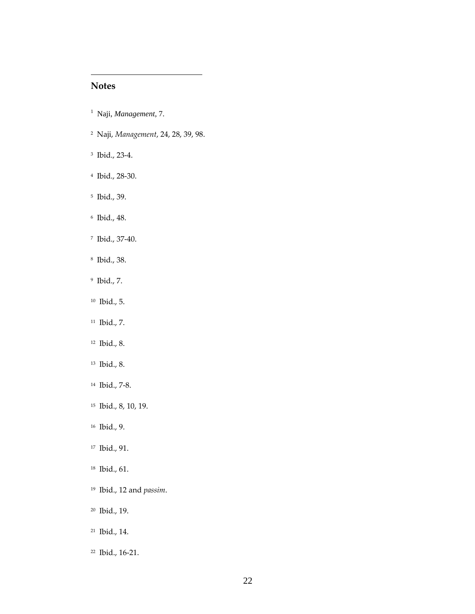#### **Notes**

 $\overline{a}$ 

Naji, *Management*, 7.

- Naji, *Management*, 24, 28, 39, 98.
- Ibid., 23‐4.
- Ibid., 28‐30.
- Ibid., 39.
- Ibid., 48.
- Ibid., 37‐40.
- Ibid., 38.
- <sup>9</sup> Ibid., 7.
- <sup>10</sup> Ibid., 5.
- <sup>11</sup> Ibid., 7.
- Ibid., 8.
- Ibid., 8.
- Ibid., 7‐8.
- Ibid., 8, 10, 19.
- Ibid., 9.
- Ibid., 91.
- Ibid., 61.
- Ibid., 12 and *passim*.
- Ibid., 19.
- Ibid., 14.
- Ibid., 16‐21.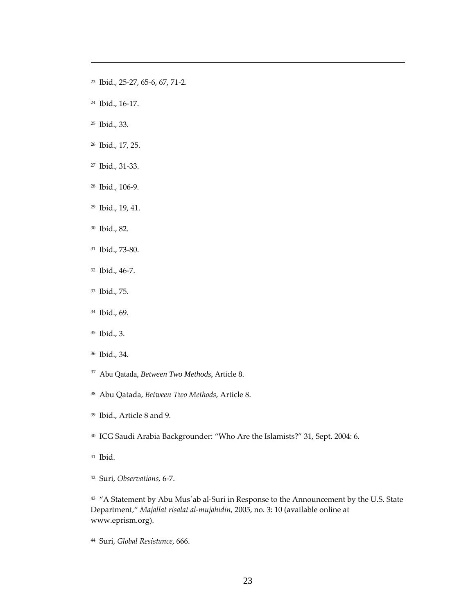- Ibid., 25‐27, 65‐6, 67, 71‐2.
- Ibid., 16‐17.
- Ibid., 33.

 $\overline{a}$ 

- Ibid., 17, 25.
- Ibid., 31‐33.
- Ibid., 106‐9.
- Ibid., 19, 41.
- Ibid., 82.
- Ibid., 73‐80.
- Ibid., 46‐7.
- Ibid., 75.
- Ibid., 69.
- Ibid., 3.
- Ibid., 34.
- 37 Abu Qatada, *Between Two Methods*, Article 8.
- Abu Qatada, *Between Two Methods*, Article 8.
- Ibid., Article 8 and 9.
- ICG Saudi Arabia Backgrounder: "Who Are the Islamists?" 31, Sept. 2004: 6.
- Ibid.
- Suri, *Observations,* 6‐7.

<sup>43</sup> "A Statement by Abu Mus`ab al-Suri in Response to the Announcement by the U.S. State Department," *Majallat risalat al‐mujahidin*, 2005, no. 3: 10 (available online at www.eprism.org).

Suri, *Global Resistance*, 666.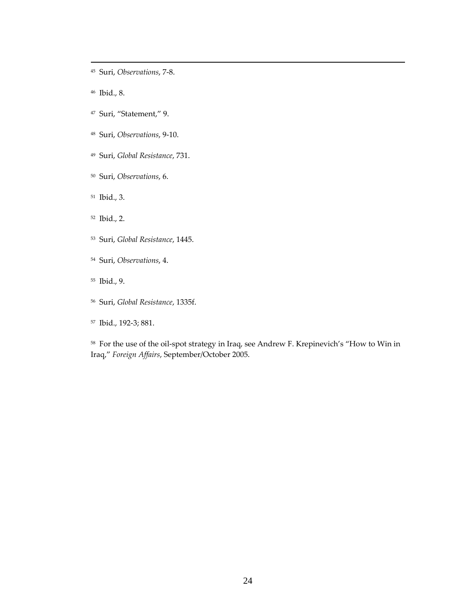Suri, *Observations*, 7‐8.

Ibid., 8.

 $\overline{a}$ 

- Suri, "Statement," 9.
- Suri, *Observations*, 9‐10.
- Suri, *Global Resistance*, 731.
- Suri, *Observations*, 6.
- Ibid., 3.
- Ibid., 2.
- Suri, *Global Resistance*, 1445.
- Suri, *Observations*, 4.
- Ibid., 9.
- Suri, *Global Resistance*, 1335f.
- Ibid., 192‐3; 881.

<sup>58</sup> For the use of the oil-spot strategy in Iraq, see Andrew F. Krepinevich's "How to Win in Iraq," *Foreign Affairs*, September/October 2005.